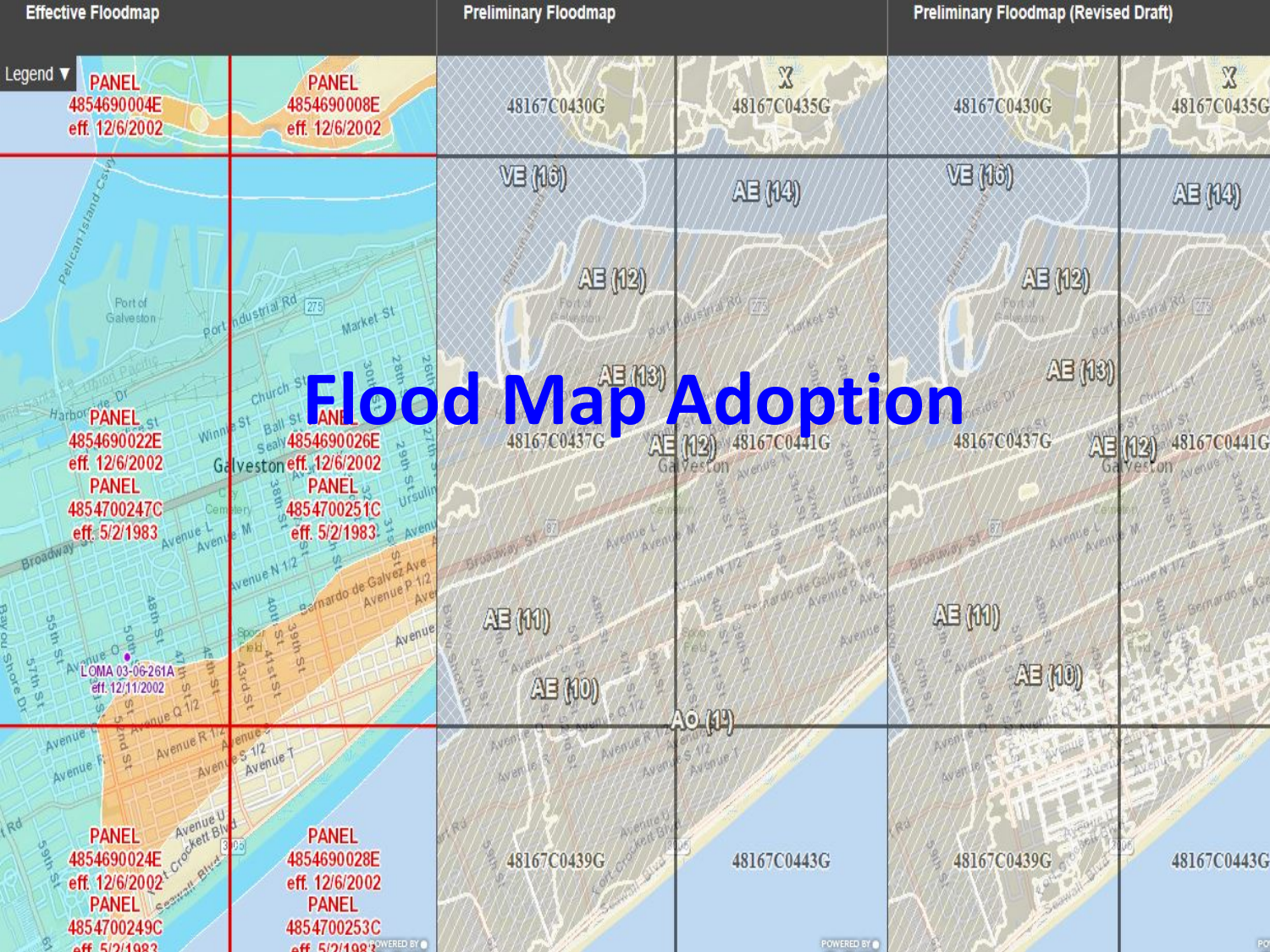| <b>Effective Floodmap</b>                                                                                                                         | <b>Preliminary Floodmap</b>               |                             | <b>Preliminary Floodmap (Revised Draft)</b> |                             |
|---------------------------------------------------------------------------------------------------------------------------------------------------|-------------------------------------------|-----------------------------|---------------------------------------------|-----------------------------|
| Legend $\blacktriangledown$<br><b>PANEL</b><br><b>PANEL</b><br>4854690004E<br>4854690008E<br>eff. 12/6/2002<br>eff. 12/6/2002                     | 48167C0430G                               | $\mathbb{Z}$<br>48167C0435G | 48167C0430G                                 | $\mathbb{Z}$<br>48167C0435G |
|                                                                                                                                                   | VE (10)                                   | AB(140)                     | VE (10)                                     | AB(140)                     |
| Port of<br>dustrial Rd<br>Market St<br>Galveston<br>port                                                                                          | AB (12)                                   |                             | AB (12)                                     |                             |
|                                                                                                                                                   | <b>Environ Street Coool Majo Adoption</b> |                             | AB(13)                                      |                             |
| Harbo <sup>t</sup> PANEL <sub>st</sub><br><b>Win</b><br>4854690022E<br>Galveston eff. 12/6/2002<br>eff. 12/6/2002<br><b>PANEL</b><br><b>PANEL</b> |                                           |                             | 48167C0437G<br>AE.                          | 48167C0441G<br>(12)         |
| 4854700251C<br>4854700247C<br>eff. 5/2/1983<br>eff. 5/2/1983<br>venue<br>Aven                                                                     |                                           |                             |                                             |                             |
| <b>SSWS</b><br>Avenue,<br>e <sub>th</sub> e                                                                                                       | AB(M)                                     |                             | AB(M)                                       |                             |
| <b>Asta</b><br>LOMA 03-06-261A<br>eff. 12/11/2002                                                                                                 | AB(00)                                    | $\circ$ (1)                 | AB (10)                                     |                             |
| Avenue<br>Avenue R<br>S <sub>Avenue</sub> <sub>T</sub><br>U)<br>Avenue<br>Aveny                                                                   | AVOR                                      |                             |                                             |                             |
| PANEL Avenue V<br><b>PANEL</b><br>4854690028E<br>eff. 12/6/2002                                                                                   | 48167C0439G                               | 48167C0443G                 | 48167C0439G                                 | 48167C0443G                 |
| PANEL Comment<br><b>PANEL</b><br>4854700249C<br>4854700253C<br><b>EP 5/2/1002</b><br><b>EF EIDITOOS</b> WERE BY                                   |                                           | POWERED BY                  |                                             | P <sub>O</sub>              |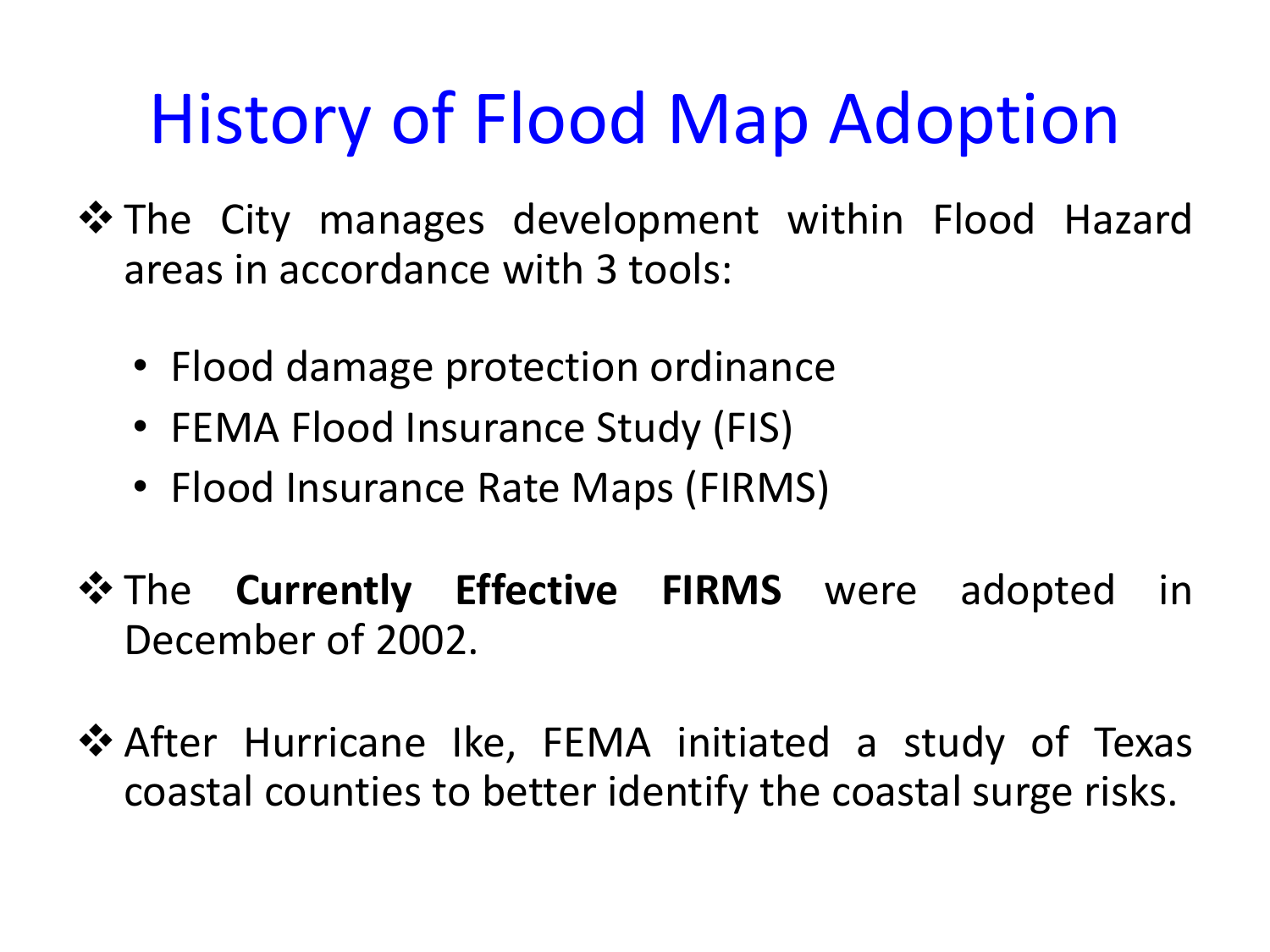## History of Flood Map Adoption

- $\dots$  The City manages development within Flood Hazard areas in accordance with 3 tools:
	- Flood damage protection ordinance
	- FEMA Flood Insurance Study (FIS)
	- Flood Insurance Rate Maps (FIRMS)
- $\cdot$  The **Currently Effective FIRMS** were adopted in December of 2002.
- ❖ After Hurricane Ike, FEMA initiated a study of Texas coastal counties to better identify the coastal surge risks.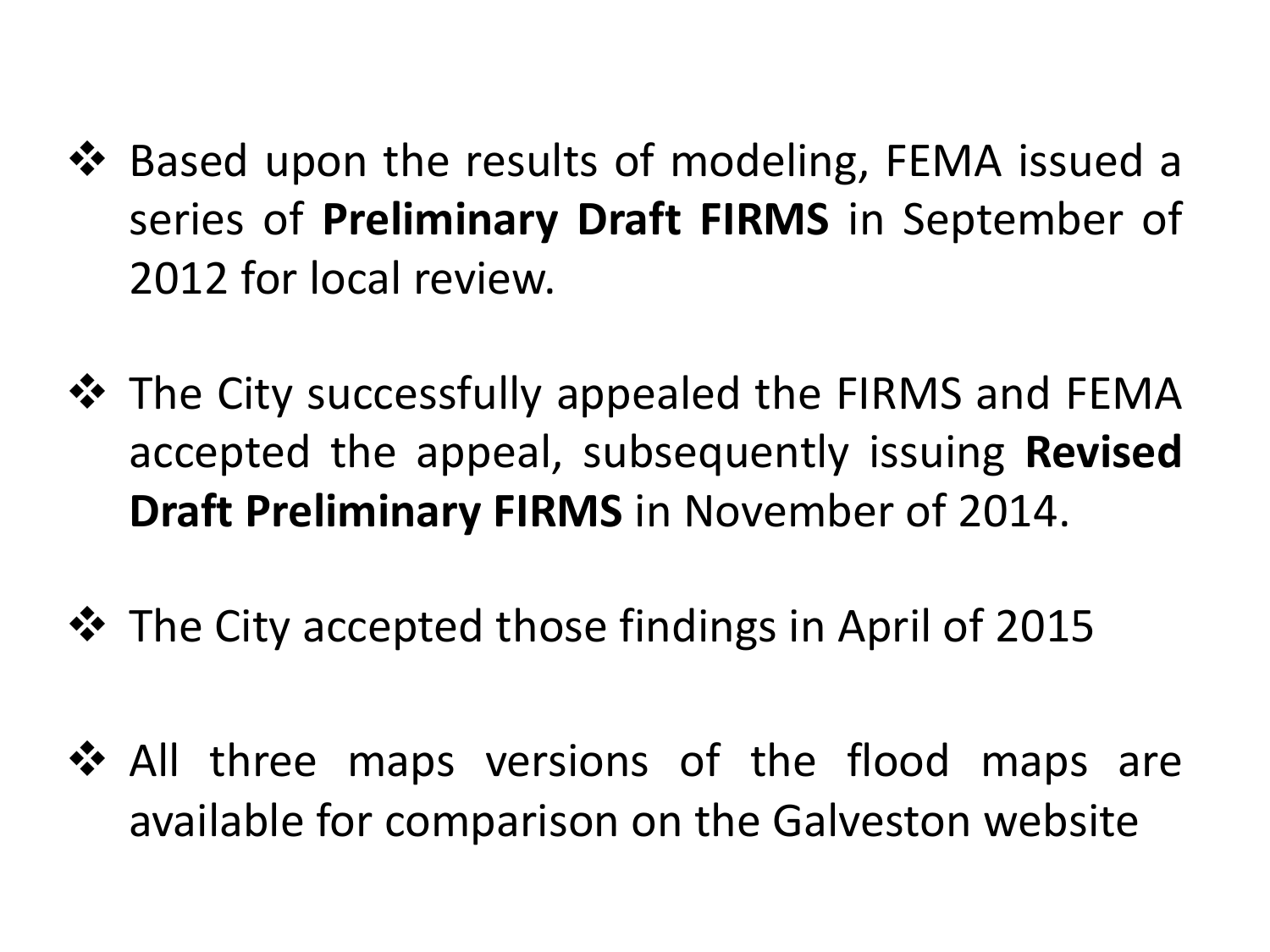- ❖ Based upon the results of modeling, FEMA issued a series of **Preliminary Draft FIRMS** in September of 2012 for local review.
- $\div$  The City successfully appealed the FIRMS and FEMA accepted the appeal, subsequently issuing **Revised Draft Preliminary FIRMS** in November of 2014.
- $\cdot$  The City accepted those findings in April of 2015
- $\clubsuit$  All three maps versions of the flood maps are available for comparison on the Galveston website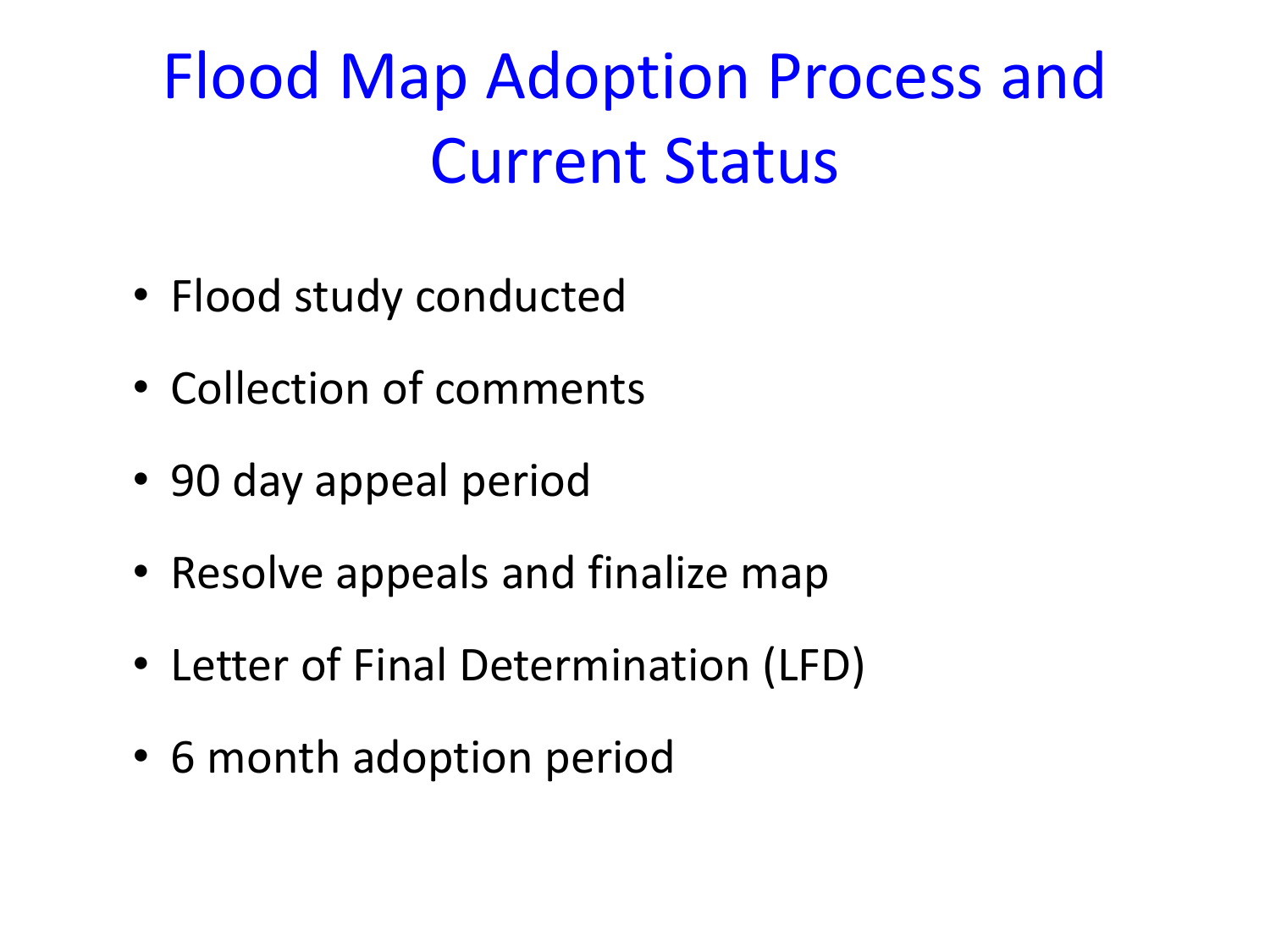## Flood Map Adoption Process and **Current Status**

- Flood study conducted
- Collection of comments
- 90 day appeal period
- Resolve appeals and finalize map
- Letter of Final Determination (LFD)
- 6 month adoption period